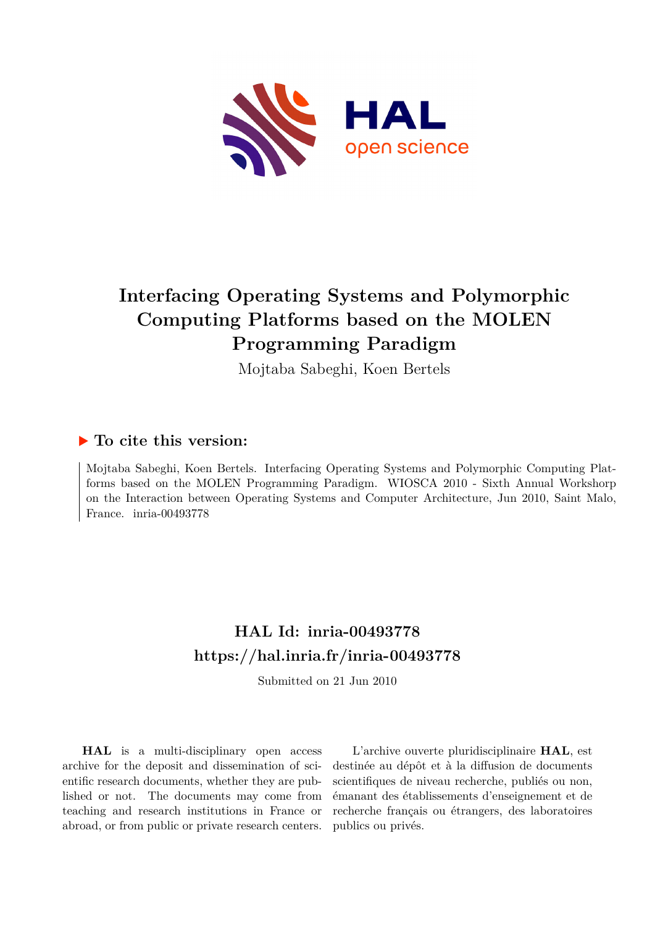

# **Interfacing Operating Systems and Polymorphic Computing Platforms based on the MOLEN Programming Paradigm**

Mojtaba Sabeghi, Koen Bertels

## **To cite this version:**

Mojtaba Sabeghi, Koen Bertels. Interfacing Operating Systems and Polymorphic Computing Platforms based on the MOLEN Programming Paradigm. WIOSCA 2010 - Sixth Annual Workshorp on the Interaction between Operating Systems and Computer Architecture, Jun 2010, Saint Malo, France. inria-00493778

# **HAL Id: inria-00493778 <https://hal.inria.fr/inria-00493778>**

Submitted on 21 Jun 2010

**HAL** is a multi-disciplinary open access archive for the deposit and dissemination of scientific research documents, whether they are published or not. The documents may come from teaching and research institutions in France or abroad, or from public or private research centers.

L'archive ouverte pluridisciplinaire **HAL**, est destinée au dépôt et à la diffusion de documents scientifiques de niveau recherche, publiés ou non, émanant des établissements d'enseignement et de recherche français ou étrangers, des laboratoires publics ou privés.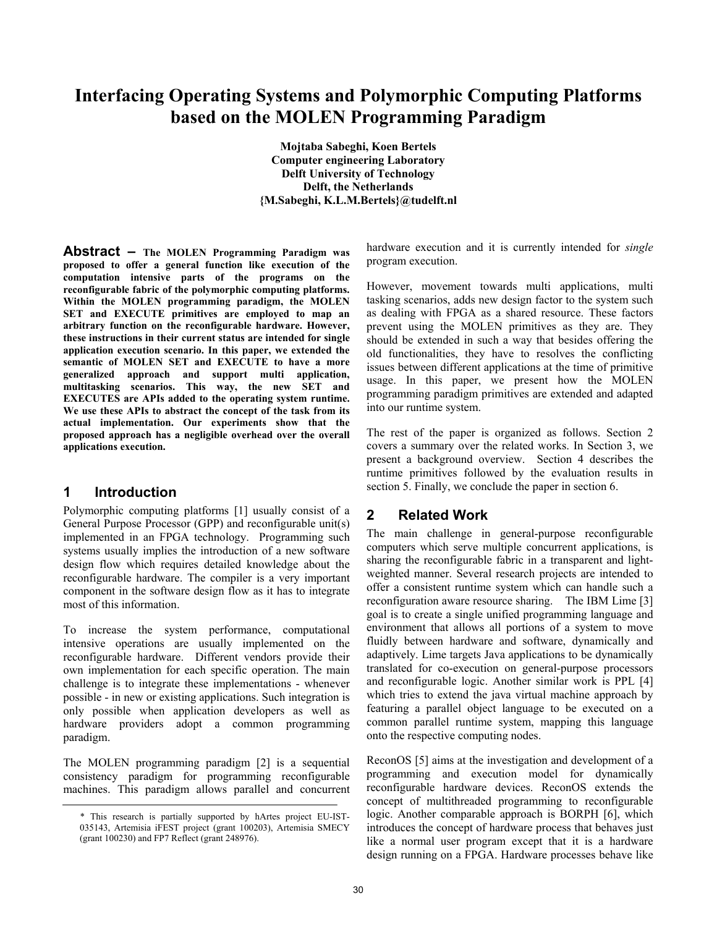## **Interfacing Operating Systems and Polymorphic Computing Platforms based on the MOLEN Programming Paradigm**

**Mojtaba Sabeghi, Koen Bertels Computer engineering Laboratory Delft University of Technology Delft, the Netherlands {M.Sabeghi, K.L.M.Bertels}@tudelft.nl** 

**Abstract – The MOLEN Programming Paradigm was proposed to offer a general function like execution of the computation intensive parts of the programs on the reconfigurable fabric of the polymorphic computing platforms. Within the MOLEN programming paradigm, the MOLEN SET and EXECUTE primitives are employed to map an arbitrary function on the reconfigurable hardware. However, these instructions in their current status are intended for single application execution scenario. In this paper, we extended the semantic of MOLEN SET and EXECUTE to have a more generalized approach and support multi application, multitasking scenarios. This way, the new SET and EXECUTES are APIs added to the operating system runtime. We use these APIs to abstract the concept of the task from its actual implementation. Our experiments show that the proposed approach has a negligible overhead over the overall applications execution.** 

#### **1 Introduction**

Polymorphic computing platforms [1] usually consist of a General Purpose Processor (GPP) and reconfigurable unit(s) implemented in an FPGA technology. Programming such systems usually implies the introduction of a new software design flow which requires detailed knowledge about the reconfigurable hardware. The compiler is a very important component in the software design flow as it has to integrate most of this information.

To increase the system performance, computational intensive operations are usually implemented on the reconfigurable hardware. Different vendors provide their own implementation for each specific operation. The main challenge is to integrate these implementations - whenever possible - in new or existing applications. Such integration is only possible when application developers as well as hardware providers adopt a common programming paradigm.

The MOLEN programming paradigm [2] is a sequential consistency paradigm for programming reconfigurable machines. This paradigm allows parallel and concurrent hardware execution and it is currently intended for *single* program execution.

However, movement towards multi applications, multi tasking scenarios, adds new design factor to the system such as dealing with FPGA as a shared resource. These factors prevent using the MOLEN primitives as they are. They should be extended in such a way that besides offering the old functionalities, they have to resolves the conflicting issues between different applications at the time of primitive usage. In this paper, we present how the MOLEN programming paradigm primitives are extended and adapted into our runtime system.

The rest of the paper is organized as follows. Section 2 covers a summary over the related works. In Section 3, we present a background overview. Section 4 describes the runtime primitives followed by the evaluation results in section 5. Finally, we conclude the paper in section 6.

#### **2 Related Work**

The main challenge in general-purpose reconfigurable computers which serve multiple concurrent applications, is sharing the reconfigurable fabric in a transparent and lightweighted manner. Several research projects are intended to offer a consistent runtime system which can handle such a reconfiguration aware resource sharing. The IBM Lime [3] goal is to create a single unified programming language and environment that allows all portions of a system to move fluidly between hardware and software, dynamically and adaptively. Lime targets Java applications to be dynamically translated for co-execution on general-purpose processors and reconfigurable logic. Another similar work is PPL [4] which tries to extend the java virtual machine approach by featuring a parallel object language to be executed on a common parallel runtime system, mapping this language onto the respective computing nodes.

ReconOS [5] aims at the investigation and development of a programming and execution model for dynamically reconfigurable hardware devices. ReconOS extends the concept of multithreaded programming to reconfigurable logic. Another comparable approach is BORPH [6], which introduces the concept of hardware process that behaves just like a normal user program except that it is a hardware design running on a FPGA. Hardware processes behave like

<sup>\*</sup> This research is partially supported by hArtes project EU-IST-035143, Artemisia iFEST project (grant 100203), Artemisia SMECY (grant 100230) and FP7 Reflect (grant 248976).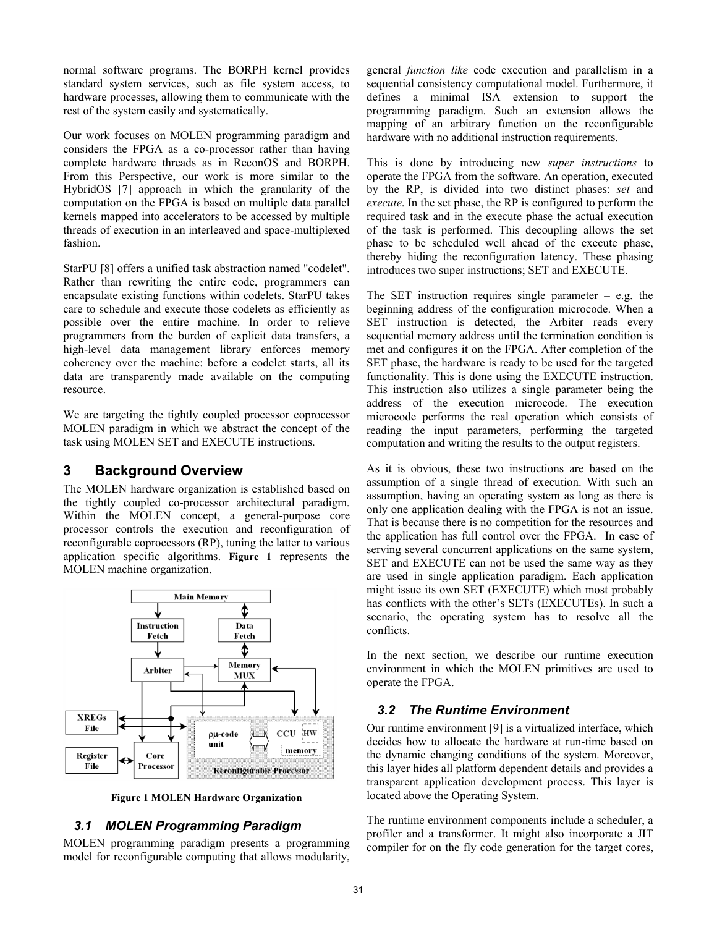normal software programs. The BORPH kernel provides standard system services, such as file system access, to hardware processes, allowing them to communicate with the rest of the system easily and systematically.

Our work focuses on MOLEN programming paradigm and considers the FPGA as a co-processor rather than having complete hardware threads as in ReconOS and BORPH. From this Perspective, our work is more similar to the HybridOS [7] approach in which the granularity of the computation on the FPGA is based on multiple data parallel kernels mapped into accelerators to be accessed by multiple threads of execution in an interleaved and space-multiplexed fashion.

StarPU [8] offers a unified task abstraction named "codelet". Rather than rewriting the entire code, programmers can encapsulate existing functions within codelets. StarPU takes care to schedule and execute those codelets as efficiently as possible over the entire machine. In order to relieve programmers from the burden of explicit data transfers, a high-level data management library enforces memory coherency over the machine: before a codelet starts, all its data are transparently made available on the computing resource.

We are targeting the tightly coupled processor coprocessor MOLEN paradigm in which we abstract the concept of the task using MOLEN SET and EXECUTE instructions.

### **3 Background Overview**

The MOLEN hardware organization is established based on the tightly coupled co-processor architectural paradigm. Within the MOLEN concept, a general-purpose core processor controls the execution and reconfiguration of reconfigurable coprocessors (RP), tuning the latter to various application specific algorithms. **Figure 1** represents the MOLEN machine organization.



**Figure 1 MOLEN Hardware Organization** 

#### *3.1 MOLEN Programming Paradigm*

MOLEN programming paradigm presents a programming model for reconfigurable computing that allows modularity, general *function like* code execution and parallelism in a sequential consistency computational model. Furthermore, it defines a minimal ISA extension to support the programming paradigm. Such an extension allows the mapping of an arbitrary function on the reconfigurable hardware with no additional instruction requirements.

This is done by introducing new *super instructions* to operate the FPGA from the software. An operation, executed by the RP, is divided into two distinct phases: *set* and *execute*. In the set phase, the RP is configured to perform the required task and in the execute phase the actual execution of the task is performed. This decoupling allows the set phase to be scheduled well ahead of the execute phase, thereby hiding the reconfiguration latency. These phasing introduces two super instructions; SET and EXECUTE.

The SET instruction requires single parameter  $-$  e.g. the beginning address of the configuration microcode. When a SET instruction is detected, the Arbiter reads every sequential memory address until the termination condition is met and configures it on the FPGA. After completion of the SET phase, the hardware is ready to be used for the targeted functionality. This is done using the EXECUTE instruction. This instruction also utilizes a single parameter being the address of the execution microcode. The execution microcode performs the real operation which consists of reading the input parameters, performing the targeted computation and writing the results to the output registers.

As it is obvious, these two instructions are based on the assumption of a single thread of execution. With such an assumption, having an operating system as long as there is only one application dealing with the FPGA is not an issue. That is because there is no competition for the resources and the application has full control over the FPGA. In case of serving several concurrent applications on the same system, SET and EXECUTE can not be used the same way as they are used in single application paradigm. Each application might issue its own SET (EXECUTE) which most probably has conflicts with the other's SETs (EXECUTEs). In such a scenario, the operating system has to resolve all the conflicts.

In the next section, we describe our runtime execution environment in which the MOLEN primitives are used to operate the FPGA.

#### *3.2 The Runtime Environment*

Our runtime environment [9] is a virtualized interface, which decides how to allocate the hardware at run-time based on the dynamic changing conditions of the system. Moreover, this layer hides all platform dependent details and provides a transparent application development process. This layer is located above the Operating System.

The runtime environment components include a scheduler, a profiler and a transformer. It might also incorporate a JIT compiler for on the fly code generation for the target cores,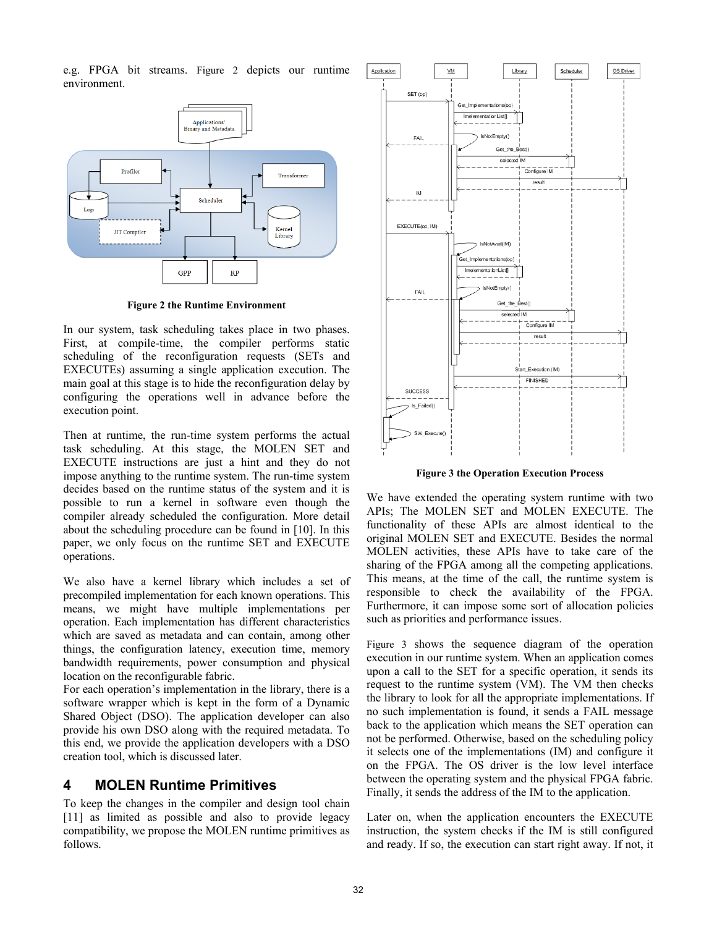e.g. FPGA bit streams. Figure 2 depicts our runtime environment.



**Figure 2 the Runtime Environment** 

In our system, task scheduling takes place in two phases. First, at compile-time, the compiler performs static scheduling of the reconfiguration requests (SETs and EXECUTEs) assuming a single application execution. The main goal at this stage is to hide the reconfiguration delay by configuring the operations well in advance before the execution point.

Then at runtime, the run-time system performs the actual task scheduling. At this stage, the MOLEN SET and EXECUTE instructions are just a hint and they do not impose anything to the runtime system. The run-time system decides based on the runtime status of the system and it is possible to run a kernel in software even though the compiler already scheduled the configuration. More detail about the scheduling procedure can be found in [10]. In this paper, we only focus on the runtime SET and EXECUTE operations.

We also have a kernel library which includes a set of precompiled implementation for each known operations. This means, we might have multiple implementations per operation. Each implementation has different characteristics which are saved as metadata and can contain, among other things, the configuration latency, execution time, memory bandwidth requirements, power consumption and physical location on the reconfigurable fabric.

For each operation's implementation in the library, there is a software wrapper which is kept in the form of a Dynamic Shared Object (DSO). The application developer can also provide his own DSO along with the required metadata. To this end, we provide the application developers with a DSO creation tool, which is discussed later.

#### **4 MOLEN Runtime Primitives**

To keep the changes in the compiler and design tool chain [11] as limited as possible and also to provide legacy compatibility, we propose the MOLEN runtime primitives as follows.



**Figure 3 the Operation Execution Process** 

We have extended the operating system runtime with two APIs; The MOLEN SET and MOLEN EXECUTE. The functionality of these APIs are almost identical to the original MOLEN SET and EXECUTE. Besides the normal MOLEN activities, these APIs have to take care of the sharing of the FPGA among all the competing applications. This means, at the time of the call, the runtime system is responsible to check the availability of the FPGA. Furthermore, it can impose some sort of allocation policies such as priorities and performance issues.

Figure 3 shows the sequence diagram of the operation execution in our runtime system. When an application comes upon a call to the SET for a specific operation, it sends its request to the runtime system (VM). The VM then checks the library to look for all the appropriate implementations. If no such implementation is found, it sends a FAIL message back to the application which means the SET operation can not be performed. Otherwise, based on the scheduling policy it selects one of the implementations (IM) and configure it on the FPGA. The OS driver is the low level interface between the operating system and the physical FPGA fabric. Finally, it sends the address of the IM to the application.

Later on, when the application encounters the EXECUTE instruction, the system checks if the IM is still configured and ready. If so, the execution can start right away. If not, it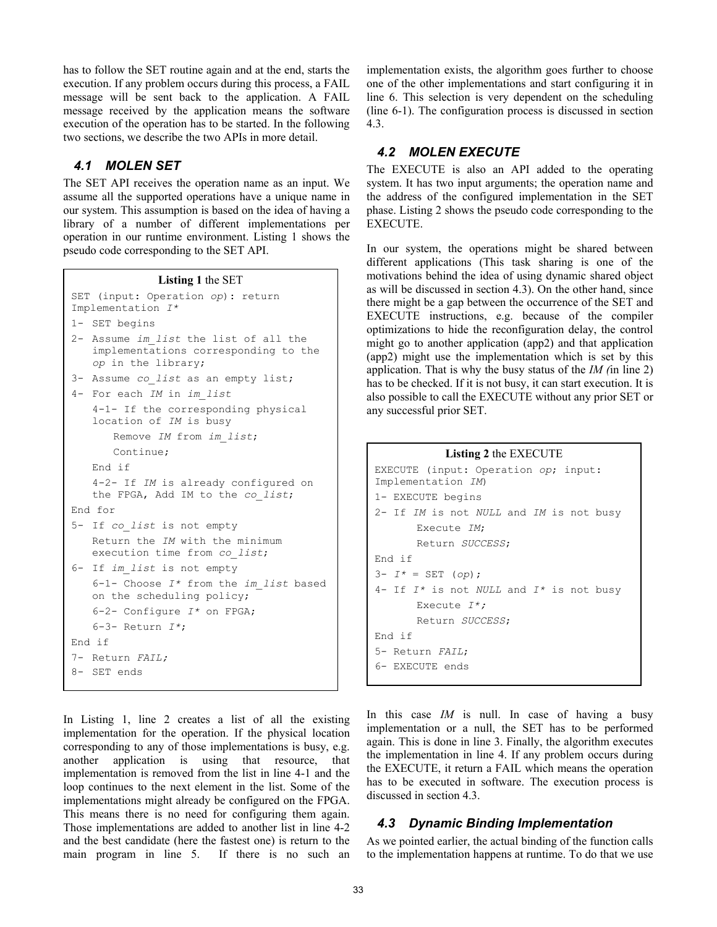has to follow the SET routine again and at the end, starts the execution. If any problem occurs during this process, a FAIL message will be sent back to the application. A FAIL message received by the application means the software execution of the operation has to be started. In the following two sections, we describe the two APIs in more detail.

#### *4.1 MOLEN SET*

The SET API receives the operation name as an input. We assume all the supported operations have a unique name in our system. This assumption is based on the idea of having a library of a number of different implementations per operation in our runtime environment. Listing 1 shows the pseudo code corresponding to the SET API.

#### **Listing 1** the SET

```
SET (input: Operation op): return 
Implementation I*
1- SET begins 
2- Assume im_list the list of all the 
   implementations corresponding to the 
   op in the library; 
3- Assume co_list as an empty list; 
4- For each IM in im_list 
   4-1- If the corresponding physical 
   location of IM is busy 
       Remove IM from im_list; 
       Continue; 
   End if 
   4-2- If IM is already configured on 
   the FPGA, Add IM to the co_list; 
End for 
5- If co_list is not empty 
   Return the IM with the minimum 
   execution time from co_list; 
6- If im_list is not empty 
   6-1- Choose I* from the im_list based 
   on the scheduling policy; 
   6-2- Configure I* on FPGA; 
   6-3- Return I*; 
End if 
7- Return FAIL;
8- SET ends
```
In Listing 1, line 2 creates a list of all the existing implementation for the operation. If the physical location corresponding to any of those implementations is busy, e.g. another application is using that resource, that implementation is removed from the list in line 4-1 and the loop continues to the next element in the list. Some of the implementations might already be configured on the FPGA. This means there is no need for configuring them again. Those implementations are added to another list in line 4-2 and the best candidate (here the fastest one) is return to the main program in line 5. If there is no such an

implementation exists, the algorithm goes further to choose one of the other implementations and start configuring it in line 6. This selection is very dependent on the scheduling (line 6-1). The configuration process is discussed in section 4.3.

#### *4.2 MOLEN EXECUTE*

The EXECUTE is also an API added to the operating system. It has two input arguments; the operation name and the address of the configured implementation in the SET phase. Listing 2 shows the pseudo code corresponding to the EXECUTE.

In our system, the operations might be shared between different applications (This task sharing is one of the motivations behind the idea of using dynamic shared object as will be discussed in section 4.3). On the other hand, since there might be a gap between the occurrence of the SET and EXECUTE instructions, e.g. because of the compiler optimizations to hide the reconfiguration delay, the control might go to another application (app2) and that application (app2) might use the implementation which is set by this application. That is why the busy status of the *IM (*in line 2) has to be checked. If it is not busy, it can start execution. It is also possible to call the EXECUTE without any prior SET or any successful prior SET.

```
Listing 2 the EXECUTE
EXECUTE (input: Operation op; input: 
Implementation IM) 
1- EXECUTE begins 
2- If IM is not NULL and IM is not busy 
        Execute IM; 
        Return SUCCESS; 
End if 
3- I* = SET (op); 
4- If I* is not NULL and I* is not busy 
       Execute I*;
        Return SUCCESS; 
End if 
5- Return FAIL; 
6- EXECUTE ends
```
In this case *IM* is null. In case of having a busy implementation or a null, the SET has to be performed again. This is done in line 3. Finally, the algorithm executes the implementation in line 4. If any problem occurs during the EXECUTE, it return a FAIL which means the operation has to be executed in software. The execution process is discussed in section 4.3.

#### *4.3 Dynamic Binding Implementation*

As we pointed earlier, the actual binding of the function calls to the implementation happens at runtime. To do that we use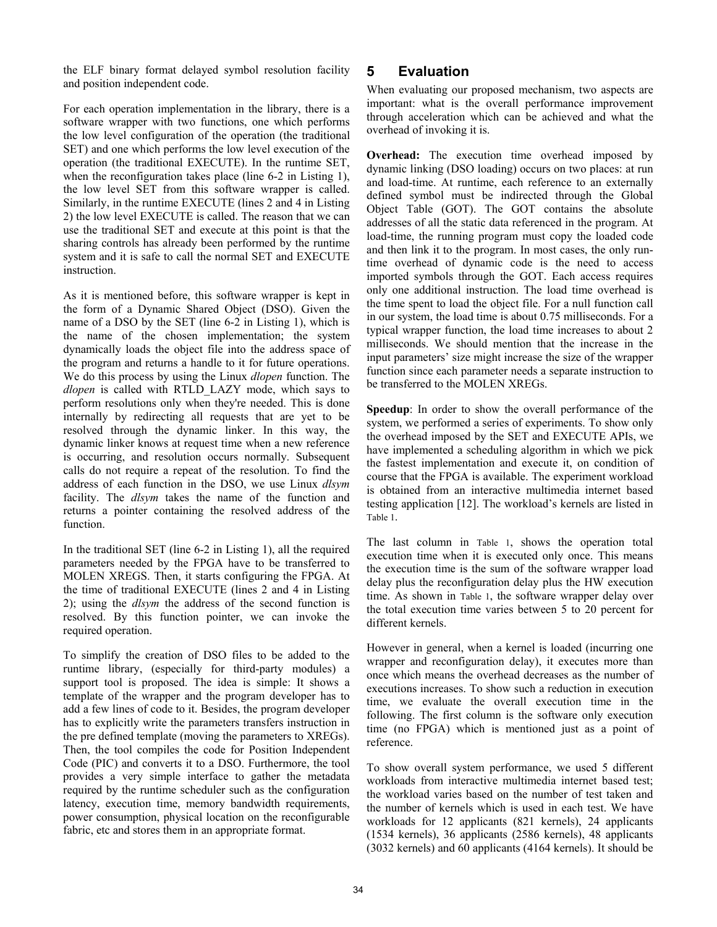the ELF binary format delayed symbol resolution facility and position independent code.

For each operation implementation in the library, there is a software wrapper with two functions, one which performs the low level configuration of the operation (the traditional SET) and one which performs the low level execution of the operation (the traditional EXECUTE). In the runtime SET, when the reconfiguration takes place (line 6-2 in Listing 1). the low level SET from this software wrapper is called. Similarly, in the runtime EXECUTE (lines 2 and 4 in Listing 2) the low level EXECUTE is called. The reason that we can use the traditional SET and execute at this point is that the sharing controls has already been performed by the runtime system and it is safe to call the normal SET and EXECUTE instruction.

As it is mentioned before, this software wrapper is kept in the form of a Dynamic Shared Object (DSO). Given the name of a DSO by the SET (line 6-2 in Listing 1), which is the name of the chosen implementation; the system dynamically loads the object file into the address space of the program and returns a handle to it for future operations. We do this process by using the Linux *dlopen* function. The *dlopen* is called with RTLD\_LAZY mode, which says to perform resolutions only when they're needed. This is done internally by redirecting all requests that are yet to be resolved through the dynamic linker. In this way, the dynamic linker knows at request time when a new reference is occurring, and resolution occurs normally. Subsequent calls do not require a repeat of the resolution. To find the address of each function in the DSO, we use Linux *dlsym* facility. The *dlsym* takes the name of the function and returns a pointer containing the resolved address of the function.

In the traditional SET (line 6-2 in Listing 1), all the required parameters needed by the FPGA have to be transferred to MOLEN XREGS. Then, it starts configuring the FPGA. At the time of traditional EXECUTE (lines 2 and 4 in Listing 2); using the *dlsym* the address of the second function is resolved. By this function pointer, we can invoke the required operation.

To simplify the creation of DSO files to be added to the runtime library, (especially for third-party modules) a support tool is proposed. The idea is simple: It shows a template of the wrapper and the program developer has to add a few lines of code to it. Besides, the program developer has to explicitly write the parameters transfers instruction in the pre defined template (moving the parameters to XREGs). Then, the tool compiles the code for Position Independent Code (PIC) and converts it to a DSO. Furthermore, the tool provides a very simple interface to gather the metadata required by the runtime scheduler such as the configuration latency, execution time, memory bandwidth requirements, power consumption, physical location on the reconfigurable fabric, etc and stores them in an appropriate format.

### **5 Evaluation**

When evaluating our proposed mechanism, two aspects are important: what is the overall performance improvement through acceleration which can be achieved and what the overhead of invoking it is.

**Overhead:** The execution time overhead imposed by dynamic linking (DSO loading) occurs on two places: at run and load-time. At runtime, each reference to an externally defined symbol must be indirected through the Global Object Table (GOT). The GOT contains the absolute addresses of all the static data referenced in the program. At load-time, the running program must copy the loaded code and then link it to the program. In most cases, the only runtime overhead of dynamic code is the need to access imported symbols through the GOT. Each access requires only one additional instruction. The load time overhead is the time spent to load the object file. For a null function call in our system, the load time is about 0.75 milliseconds. For a typical wrapper function, the load time increases to about 2 milliseconds. We should mention that the increase in the input parameters' size might increase the size of the wrapper function since each parameter needs a separate instruction to be transferred to the MOLEN XREGs.

**Speedup**: In order to show the overall performance of the system, we performed a series of experiments. To show only the overhead imposed by the SET and EXECUTE APIs, we have implemented a scheduling algorithm in which we pick the fastest implementation and execute it, on condition of course that the FPGA is available. The experiment workload is obtained from an interactive multimedia internet based testing application [12]. The workload's kernels are listed in Table 1.

The last column in Table 1, shows the operation total execution time when it is executed only once. This means the execution time is the sum of the software wrapper load delay plus the reconfiguration delay plus the HW execution time. As shown in Table 1, the software wrapper delay over the total execution time varies between 5 to 20 percent for different kernels.

However in general, when a kernel is loaded (incurring one wrapper and reconfiguration delay), it executes more than once which means the overhead decreases as the number of executions increases. To show such a reduction in execution time, we evaluate the overall execution time in the following. The first column is the software only execution time (no FPGA) which is mentioned just as a point of reference.

To show overall system performance, we used 5 different workloads from interactive multimedia internet based test; the workload varies based on the number of test taken and the number of kernels which is used in each test. We have workloads for 12 applicants (821 kernels), 24 applicants (1534 kernels), 36 applicants (2586 kernels), 48 applicants (3032 kernels) and 60 applicants (4164 kernels). It should be